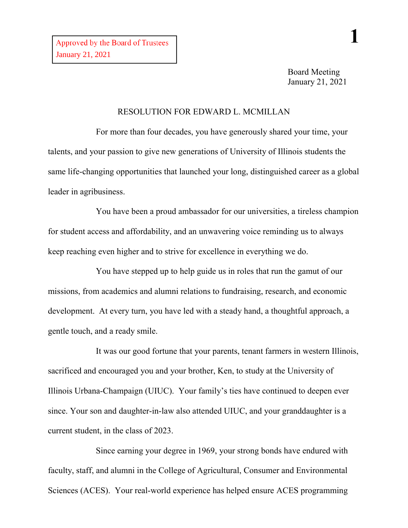## RESOLUTION FOR EDWARD L. MCMILLAN

For more than four decades, you have generously shared your time, your talents, and your passion to give new generations of University of Illinois students the same life-changing opportunities that launched your long, distinguished career as a global leader in agribusiness.

You have been a proud ambassador for our universities, a tireless champion for student access and affordability, and an unwavering voice reminding us to always keep reaching even higher and to strive for excellence in everything we do.

You have stepped up to help guide us in roles that run the gamut of our missions, from academics and alumni relations to fundraising, research, and economic development. At every turn, you have led with a steady hand, a thoughtful approach, a gentle touch, and a ready smile.

It was our good fortune that your parents, tenant farmers in western Illinois, sacrificed and encouraged you and your brother, Ken, to study at the University of Illinois Urbana-Champaign (UIUC). Your family's ties have continued to deepen ever since. Your son and daughter-in-law also attended UIUC, and your granddaughter is a current student, in the class of 2023.

Since earning your degree in 1969, your strong bonds have endured with faculty, staff, and alumni in the College of Agricultural, Consumer and Environmental Sciences (ACES). Your real-world experience has helped ensure ACES programming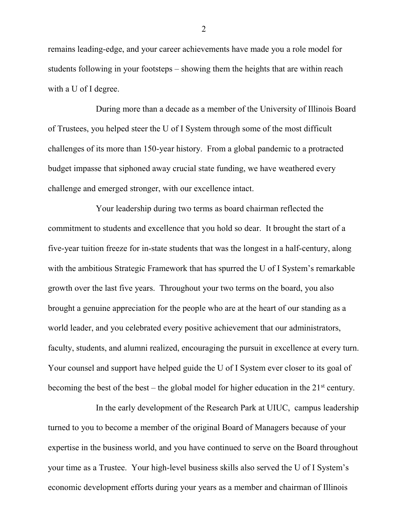remains leading-edge, and your career achievements have made you a role model for students following in your footsteps – showing them the heights that are within reach with a U of I degree.

During more than a decade as a member of the University of Illinois Board of Trustees, you helped steer the U of I System through some of the most difficult challenges of its more than 150-year history. From a global pandemic to a protracted budget impasse that siphoned away crucial state funding, we have weathered every challenge and emerged stronger, with our excellence intact.

Your leadership during two terms as board chairman reflected the commitment to students and excellence that you hold so dear. It brought the start of a five-year tuition freeze for in-state students that was the longest in a half-century, along with the ambitious Strategic Framework that has spurred the U of I System's remarkable growth over the last five years. Throughout your two terms on the board, you also brought a genuine appreciation for the people who are at the heart of our standing as a world leader, and you celebrated every positive achievement that our administrators, faculty, students, and alumni realized, encouraging the pursuit in excellence at every turn. Your counsel and support have helped guide the U of I System ever closer to its goal of becoming the best of the best – the global model for higher education in the  $21<sup>st</sup>$  century.

In the early development of the Research Park at UIUC, campus leadership turned to you to become a member of the original Board of Managers because of your expertise in the business world, and you have continued to serve on the Board throughout your time as a Trustee. Your high-level business skills also served the U of I System's economic development efforts during your years as a member and chairman of Illinois

2